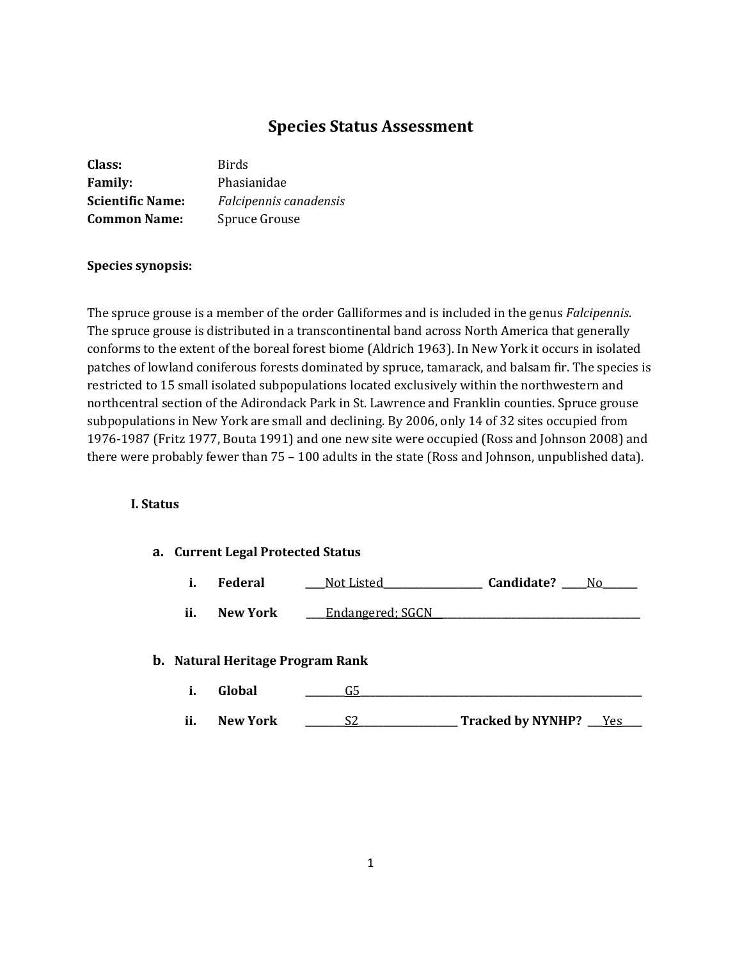# **Species Status Assessment**

| Class:                  | Birds                  |
|-------------------------|------------------------|
| <b>Family:</b>          | Phasianidae            |
| <b>Scientific Name:</b> | Falcipennis canadensis |
| <b>Common Name:</b>     | Spruce Grouse          |

# **Species synopsis:**

The spruce grouse is a member of the order Galliformes and is included in the genus *Falcipennis*. The spruce grouse is distributed in a transcontinental band across North America that generally conforms to the extent of the boreal forest biome (Aldrich 1963). In New York it occurs in isolated patches of lowland coniferous forests dominated by spruce, tamarack, and balsam fir. The species is restricted to 15 small isolated subpopulations located exclusively within the northwestern and northcentral section of the Adirondack Park in St. Lawrence and Franklin counties. Spruce grouse subpopulations in New York are small and declining. By 2006, only 14 of 32 sites occupied from 1976-1987 (Fritz 1977, Bouta 1991) and one new site were occupied (Ross and Johnson 2008) and there were probably fewer than 75 – 100 adults in the state (Ross and Johnson, unpublished data).

#### **I. Status**

# **a. Current Legal Protected Status**

|  | Federal | Not Listed | Candidate? | N۵ |
|--|---------|------------|------------|----|
|--|---------|------------|------------|----|

**ii.** New York <u>Lendangered; SGCN</u>

#### **b. Natural Heritage Program Rank**

- **i. Global \_\_\_\_\_\_\_\_**G5**\_\_\_\_\_\_\_\_\_\_\_\_\_\_\_\_\_\_\_\_\_\_\_\_\_\_\_\_\_\_\_\_\_\_\_\_\_\_\_\_\_\_\_\_\_\_\_\_\_\_\_\_\_\_\_\_\_**
- **ii. New York \_\_\_\_\_\_\_\_**S2**\_\_\_\_\_\_\_\_\_\_\_\_\_\_\_\_\_\_\_\_ Tracked by NYNHP? \_\_\_**Yes**\_\_\_\_**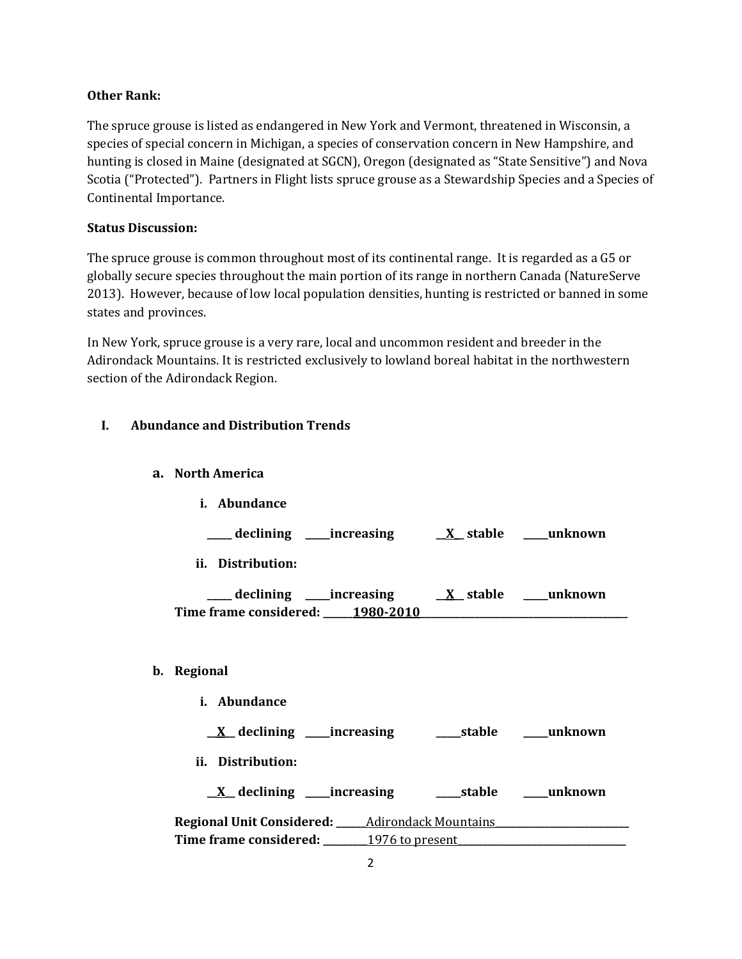# **Other Rank:**

The spruce grouse is listed as endangered in New York and Vermont, threatened in Wisconsin, a species of special concern in Michigan, a species of conservation concern in New Hampshire, and hunting is closed in Maine (designated at SGCN), Oregon (designated as "State Sensitive") and Nova Scotia ("Protected"). Partners in Flight lists spruce grouse as a Stewardship Species and a Species of Continental Importance.

### **Status Discussion:**

The spruce grouse is common throughout most of its continental range. It is regarded as a G5 or globally secure species throughout the main portion of its range in northern Canada (NatureServe 2013). However, because of low local population densities, hunting is restricted or banned in some states and provinces.

In New York, spruce grouse is a very rare, local and uncommon resident and breeder in the Adirondack Mountains. It is restricted exclusively to lowland boreal habitat in the northwestern section of the Adirondack Region.

# **I. Abundance and Distribution Trends**

# **a. North America**

**i. Abundance**

**\_\_\_\_\_ declining \_\_\_\_\_increasing \_\_X\_\_ stable \_\_\_\_\_unknown**

**ii. Distribution:**

**\_\_\_\_\_ declining \_\_\_\_\_increasing \_\_X\_\_ stable \_\_\_\_\_unknown** Time frame considered: \_\_\_\_\_1980-2010

# **b. Regional**

- **i. Abundance**
	- **\_\_X\_\_ declining \_\_\_\_\_increasing \_\_\_\_\_stable \_\_\_\_\_unknown**
- **ii. Distribution:**
	- **\_\_X\_\_ declining \_\_\_\_\_increasing \_\_\_\_\_stable \_\_\_\_\_unknown**

**Regional Unit Considered: \_\_\_\_\_\_**Adirondack Mountains**\_\_\_\_\_\_\_\_\_\_\_\_\_\_\_\_\_\_\_\_\_\_\_\_\_\_\_ Time frame considered:** 1976 to present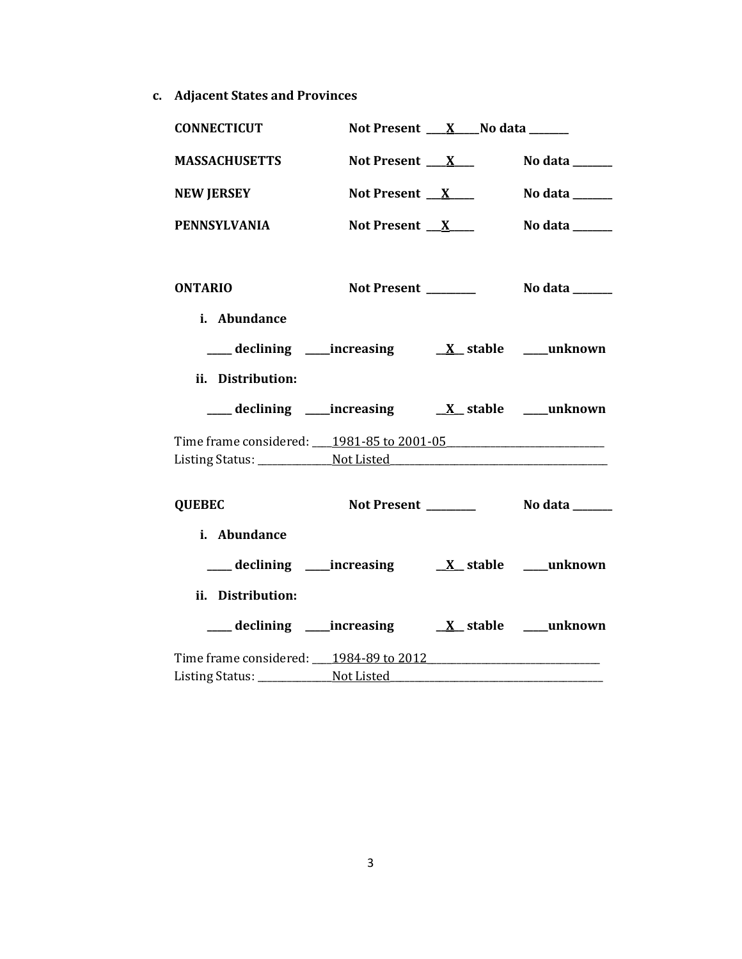**c. Adjacent States and Provinces**

| <b>CONNECTICUT</b>                                                                |                     | Not Present $X$ No data $X$ |                                            |
|-----------------------------------------------------------------------------------|---------------------|-----------------------------|--------------------------------------------|
| <b>MASSACHUSETTS</b>                                                              | Not Present $X_{-}$ |                             | No data $\_\_\_\_\_\_\_\_\_\_\_\_\_\_\_\_$ |
| <b>NEW JERSEY</b>                                                                 | Not Present $X$     |                             | No data $\_\_\_\_\_\_\_\_\_\_\_\_\$        |
| <b>PENNSYLVANIA</b>                                                               | Not Present $X$     |                             | No data ______                             |
| <b>ONTARIO</b>                                                                    |                     |                             |                                            |
| i. Abundance                                                                      |                     |                             |                                            |
|                                                                                   |                     |                             |                                            |
| ii. Distribution:                                                                 |                     |                             |                                            |
|                                                                                   |                     |                             |                                            |
| Time frame considered: _____ 1981-85 to 2001-05 _________________________________ |                     |                             |                                            |
|                                                                                   |                     |                             |                                            |
| <b>QUEBEC</b>                                                                     |                     |                             |                                            |
| i. Abundance                                                                      |                     |                             |                                            |
|                                                                                   |                     |                             |                                            |
| ii. Distribution:                                                                 |                     |                             |                                            |
|                                                                                   |                     |                             |                                            |
| Time frame considered: 1984-89 to 2012                                            |                     |                             |                                            |
|                                                                                   |                     |                             |                                            |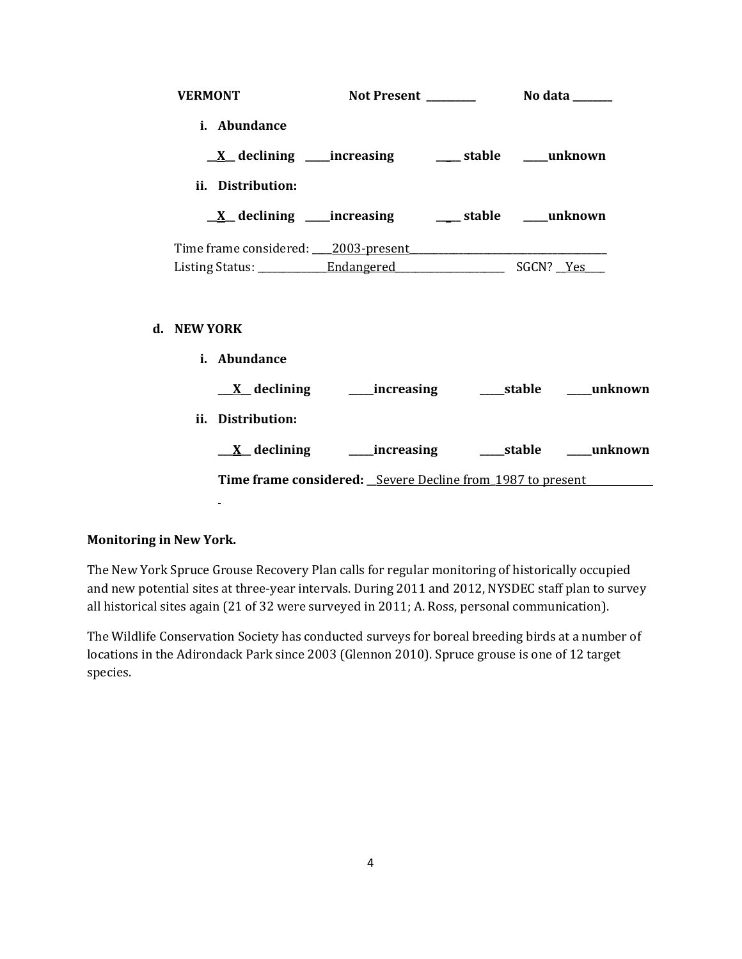| <b>VERMONT</b>                      |                                                                   |  |  |
|-------------------------------------|-------------------------------------------------------------------|--|--|
| i. Abundance                        |                                                                   |  |  |
|                                     | <u>X</u> declining ____increasing ________ stable _____unknown    |  |  |
| ii. Distribution:                   |                                                                   |  |  |
|                                     | <u>X</u> declining ____increasing ______ stable ____unknown       |  |  |
| Time frame considered: 2003-present |                                                                   |  |  |
|                                     |                                                                   |  |  |
| <b>NEW YORK</b>                     |                                                                   |  |  |
| i. Abundance                        |                                                                   |  |  |
|                                     |                                                                   |  |  |
| ii. Distribution:                   |                                                                   |  |  |
|                                     |                                                                   |  |  |
|                                     | <b>Time frame considered:</b> Severe Decline from 1987 to present |  |  |
|                                     |                                                                   |  |  |

# **Monitoring in New York.**

**d. NEW YORK**

The New York Spruce Grouse Recovery Plan calls for regular monitoring of historically occupied and new potential sites at three-year intervals. During 2011 and 2012, NYSDEC staff plan to survey all historical sites again (21 of 32 were surveyed in 2011; A. Ross, personal communication).

The Wildlife Conservation Society has conducted surveys for boreal breeding birds at a number of locations in the Adirondack Park since 2003 (Glennon 2010). Spruce grouse is one of 12 target species.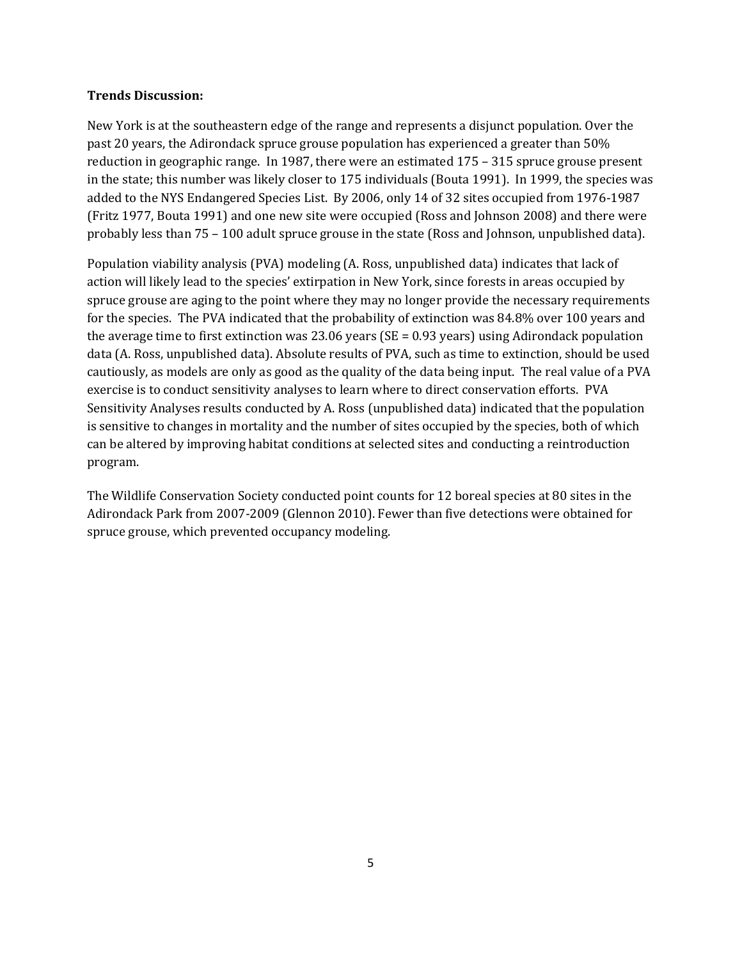### **Trends Discussion:**

New York is at the southeastern edge of the range and represents a disjunct population. Over the past 20 years, the Adirondack spruce grouse population has experienced a greater than 50% reduction in geographic range. In 1987, there were an estimated 175 – 315 spruce grouse present in the state; this number was likely closer to 175 individuals (Bouta 1991). In 1999, the species was added to the NYS Endangered Species List. By 2006, only 14 of 32 sites occupied from 1976-1987 (Fritz 1977, Bouta 1991) and one new site were occupied (Ross and Johnson 2008) and there were probably less than 75 – 100 adult spruce grouse in the state (Ross and Johnson, unpublished data).

Population viability analysis (PVA) modeling (A. Ross, unpublished data) indicates that lack of action will likely lead to the species' extirpation in New York, since forests in areas occupied by spruce grouse are aging to the point where they may no longer provide the necessary requirements for the species. The PVA indicated that the probability of extinction was 84.8% over 100 years and the average time to first extinction was 23.06 years (SE = 0.93 years) using Adirondack population data (A. Ross, unpublished data). Absolute results of PVA, such as time to extinction, should be used cautiously, as models are only as good as the quality of the data being input. The real value of a PVA exercise is to conduct sensitivity analyses to learn where to direct conservation efforts. PVA Sensitivity Analyses results conducted by A. Ross (unpublished data) indicated that the population is sensitive to changes in mortality and the number of sites occupied by the species, both of which can be altered by improving habitat conditions at selected sites and conducting a reintroduction program.

The Wildlife Conservation Society conducted point counts for 12 boreal species at 80 sites in the Adirondack Park from 2007-2009 (Glennon 2010). Fewer than five detections were obtained for spruce grouse, which prevented occupancy modeling.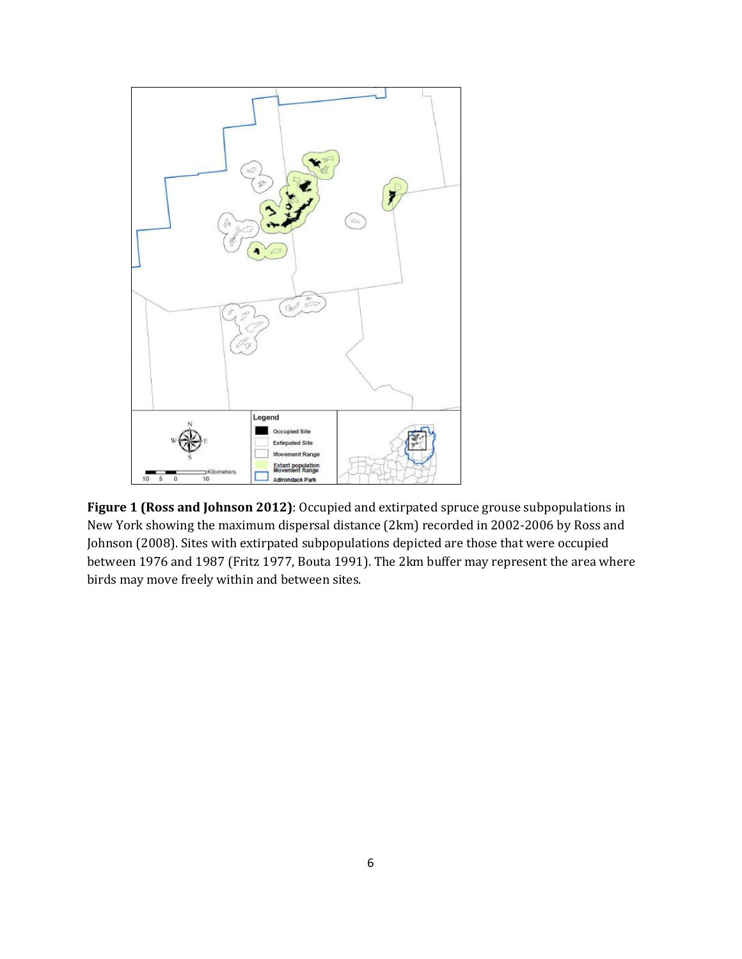

**Figure 1 (Ross and Johnson 2012)**: Occupied and extirpated spruce grouse subpopulations in New York showing the maximum dispersal distance (2km) recorded in 2002-2006 by Ross and Johnson (2008). Sites with extirpated subpopulations depicted are those that were occupied between 1976 and 1987 (Fritz 1977, Bouta 1991). The 2km buffer may represent the area where birds may move freely within and between sites.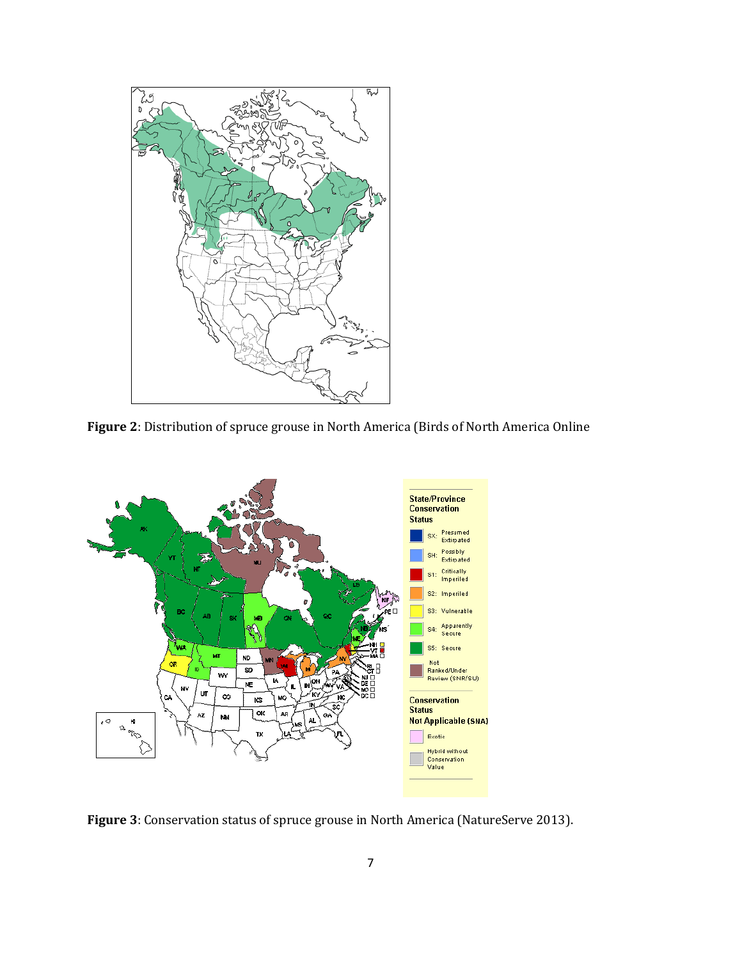

**Figure 2**: Distribution of spruce grouse in North America (Birds of North America Online



**Figure 3**: Conservation status of spruce grouse in North America (NatureServe 2013).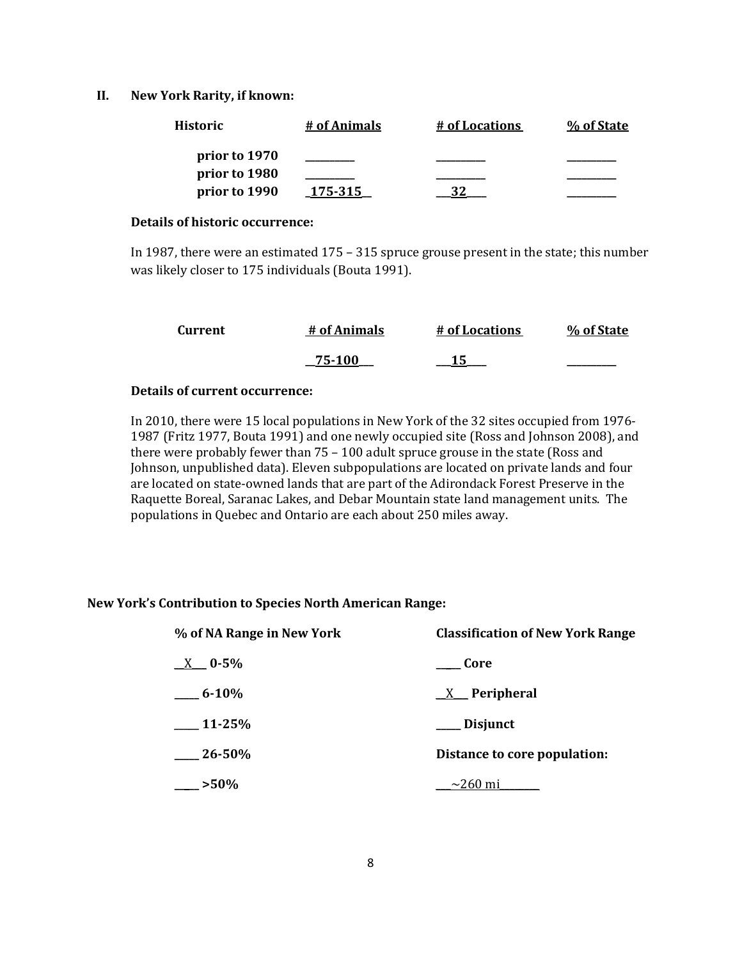#### **II. New York Rarity, if known:**

| <b>Historic</b> | # of Animals | # of Locations | % of State |
|-----------------|--------------|----------------|------------|
| prior to 1970   |              |                |            |
| prior to 1980   |              |                |            |
| prior to 1990   | 175-315      |                |            |

#### **Details of historic occurrence:**

In 1987, there were an estimated 175 – 315 spruce grouse present in the state; this number was likely closer to 175 individuals (Bouta 1991).

| Current | # of Animals | # of Locations | % of State |
|---------|--------------|----------------|------------|
|         | 75-100       |                |            |

#### **Details of current occurrence:**

In 2010, there were 15 local populations in New York of the 32 sites occupied from 1976- 1987 (Fritz 1977, Bouta 1991) and one newly occupied site (Ross and Johnson 2008), and there were probably fewer than 75 – 100 adult spruce grouse in the state (Ross and Johnson, unpublished data). Eleven subpopulations are located on private lands and four are located on state-owned lands that are part of the Adirondack Forest Preserve in the Raquette Boreal, Saranac Lakes, and Debar Mountain state land management units. The populations in Quebec and Ontario are each about 250 miles away.

# **New York's Contribution to Species North American Range:**

| % of NA Range in New York | <b>Classification of New York Range</b> |  |  |
|---------------------------|-----------------------------------------|--|--|
| $X = 0.5\%$               | Core                                    |  |  |
| $-6.10\%$                 | $X$ Peripheral                          |  |  |
| $-11-25%$                 | ___ Disjunct                            |  |  |
| $26 - 50\%$               | Distance to core population:            |  |  |
| $-$ >50%                  | $\sim$ 260 mi                           |  |  |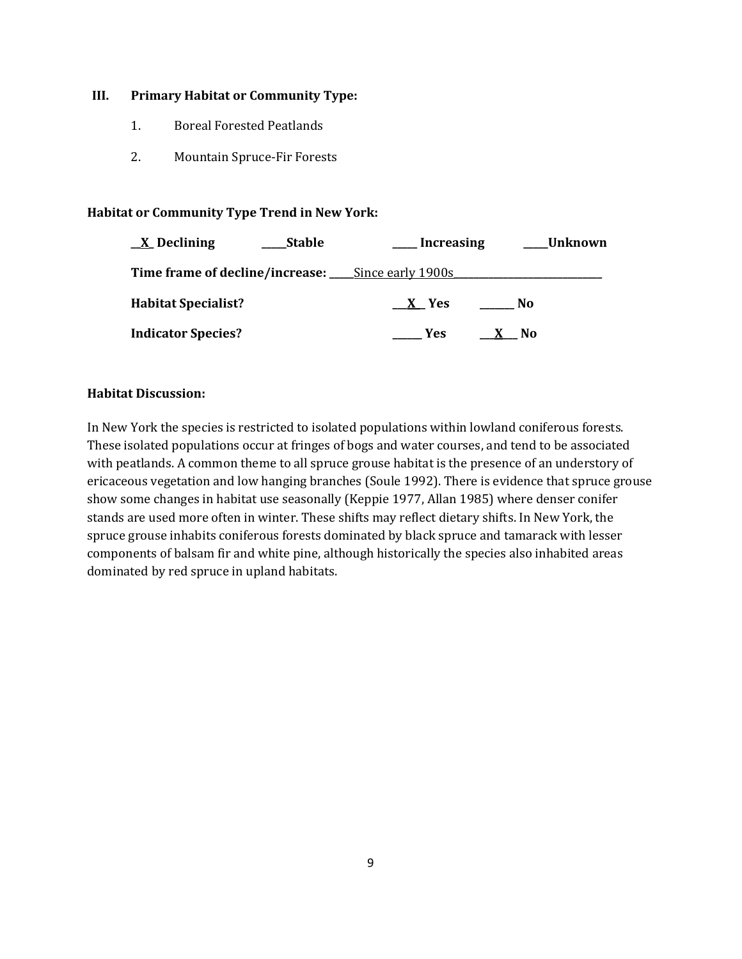### **III. Primary Habitat or Community Type:**

- 1. Boreal Forested Peatlands
- 2. Mountain Spruce-Fir Forests

# **Habitat or Community Type Trend in New York:**

| $\underline{X}$ Declining                         | <b>Stable</b> | Increasing |     | <b>Unknown</b> |
|---------------------------------------------------|---------------|------------|-----|----------------|
| Time frame of decline/increase: Since early 1900s |               |            |     |                |
| <b>Habitat Specialist?</b>                        |               | X Yes      | No. |                |
| <b>Indicator Species?</b>                         |               | Yes        | N0  |                |

# **Habitat Discussion:**

In New York the species is restricted to isolated populations within lowland coniferous forests. These isolated populations occur at fringes of bogs and water courses, and tend to be associated with peatlands. A common theme to all spruce grouse habitat is the presence of an understory of ericaceous vegetation and low hanging branches (Soule 1992). There is evidence that spruce grouse show some changes in habitat use seasonally (Keppie 1977, Allan 1985) where denser conifer stands are used more often in winter. These shifts may reflect dietary shifts. In New York, the spruce grouse inhabits coniferous forests dominated by black spruce and tamarack with lesser components of balsam fir and white pine, although historically the species also inhabited areas dominated by red spruce in upland habitats.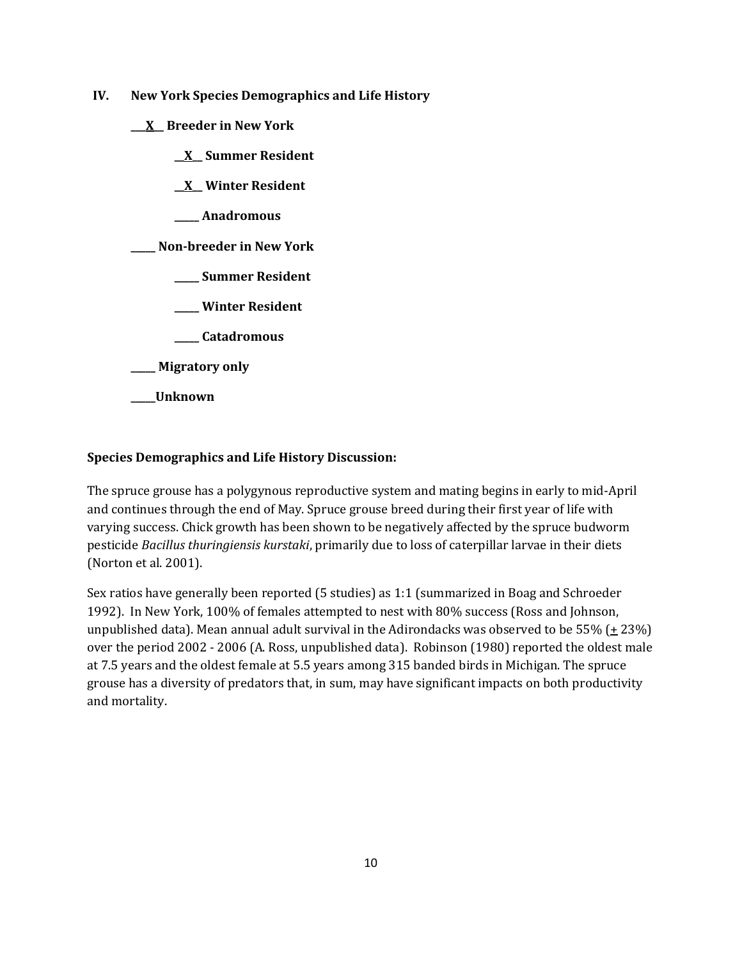- **IV. New York Species Demographics and Life History**
	- **\_\_\_X\_\_ Breeder in New York**
		- **\_\_X\_\_ Summer Resident**
		- **\_\_X\_\_ Winter Resident**
		- **\_\_\_\_\_ Anadromous**

**\_\_\_\_\_ Non-breeder in New York**

- **\_\_\_\_\_ Summer Resident**
- **\_\_\_\_\_ Winter Resident**
- **\_\_\_\_\_ Catadromous**
- **\_\_\_\_\_ Migratory only**
- **\_\_\_\_\_Unknown**

# **Species Demographics and Life History Discussion:**

The spruce grouse has a polygynous reproductive system and mating begins in early to mid-April and continues through the end of May. Spruce grouse breed during their first year of life with varying success. Chick growth has been shown to be negatively affected by the spruce budworm pesticide *Bacillus thuringiensis kurstaki*, primarily due to loss of caterpillar larvae in their diets (Norton et al. 2001).

Sex ratios have generally been reported (5 studies) as 1:1 (summarized in Boag and Schroeder 1992). In New York, 100% of females attempted to nest with 80% success (Ross and Johnson, unpublished data). Mean annual adult survival in the Adirondacks was observed to be 55% ( $\pm$  23%) over the period 2002 - 2006 (A. Ross, unpublished data). Robinson (1980) reported the oldest male at 7.5 years and the oldest female at 5.5 years among 315 banded birds in Michigan. The spruce grouse has a diversity of predators that, in sum, may have significant impacts on both productivity and mortality.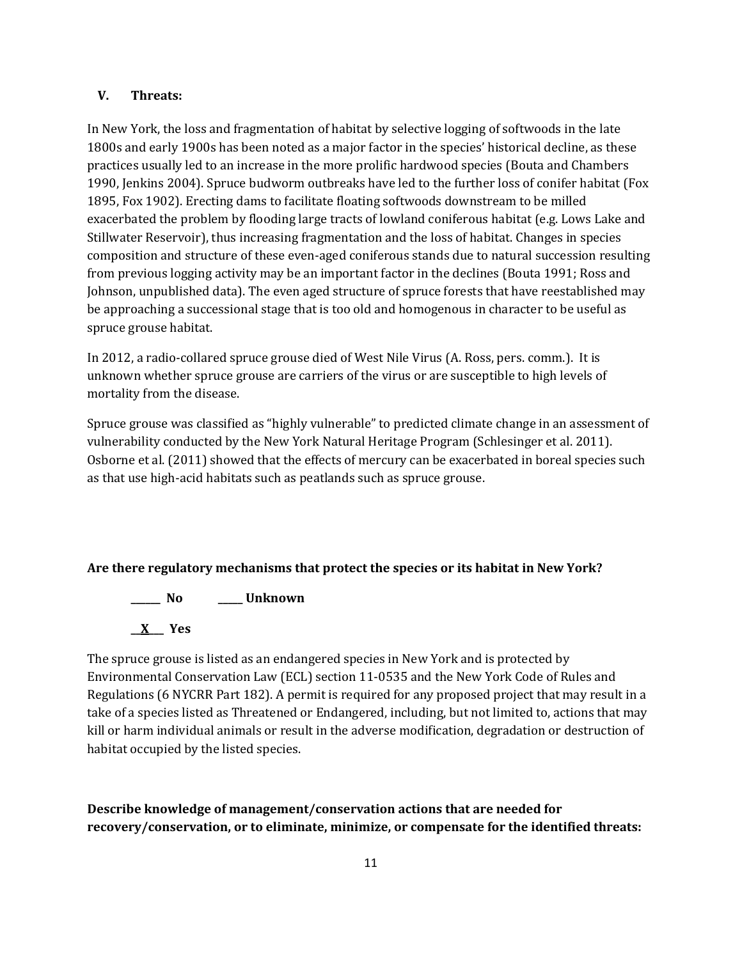### **V. Threats:**

In New York, the loss and fragmentation of habitat by selective logging of softwoods in the late 1800s and early 1900s has been noted as a major factor in the species' historical decline, as these practices usually led to an increase in the more prolific hardwood species (Bouta and Chambers 1990, Jenkins 2004). Spruce budworm outbreaks have led to the further loss of conifer habitat (Fox 1895, Fox 1902). Erecting dams to facilitate floating softwoods downstream to be milled exacerbated the problem by flooding large tracts of lowland coniferous habitat (e.g. Lows Lake and Stillwater Reservoir), thus increasing fragmentation and the loss of habitat. Changes in species composition and structure of these even-aged coniferous stands due to natural succession resulting from previous logging activity may be an important factor in the declines (Bouta 1991; Ross and Johnson, unpublished data). The even aged structure of spruce forests that have reestablished may be approaching a successional stage that is too old and homogenous in character to be useful as spruce grouse habitat.

In 2012, a radio-collared spruce grouse died of West Nile Virus (A. Ross, pers. comm.). It is unknown whether spruce grouse are carriers of the virus or are susceptible to high levels of mortality from the disease.

Spruce grouse was classified as "highly vulnerable" to predicted climate change in an assessment of vulnerability conducted by the New York Natural Heritage Program (Schlesinger et al. 2011). Osborne et al. (2011) showed that the effects of mercury can be exacerbated in boreal species such as that use high-acid habitats such as peatlands such as spruce grouse.

# **Are there regulatory mechanisms that protect the species or its habitat in New York?**

**\_\_\_\_\_\_ No \_\_\_\_\_ Unknown \_\_X\_\_\_ Yes**

The spruce grouse is listed as an endangered species in New York and is protected by Environmental Conservation Law (ECL) section 11-0535 and the New York Code of Rules and Regulations (6 NYCRR Part 182). A permit is required for any proposed project that may result in a take of a species listed as Threatened or Endangered, including, but not limited to, actions that may kill or harm individual animals or result in the adverse modification, degradation or destruction of habitat occupied by the listed species.

**Describe knowledge of management/conservation actions that are needed for recovery/conservation, or to eliminate, minimize, or compensate for the identified threats:**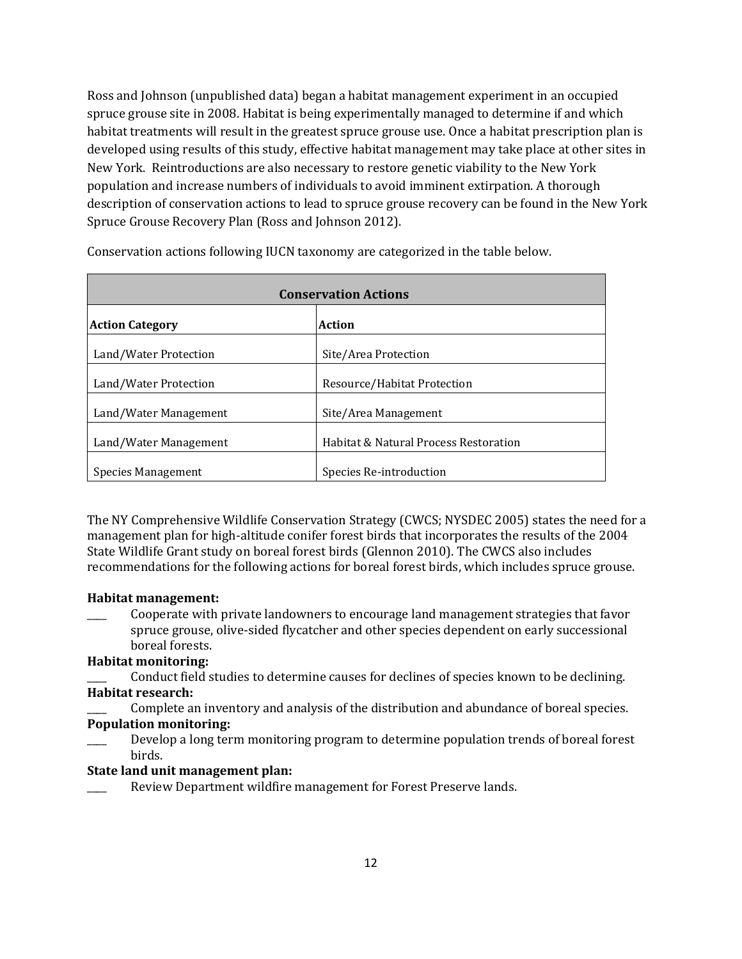Ross and Johnson (unpublished data) began a habitat management experiment in an occupied spruce grouse site in 2008. Habitat is being experimentally managed to determine if and which habitat treatments will result in the greatest spruce grouse use. Once a habitat prescription plan is developed using results of this study, effective habitat management may take place at other sites in New York. Reintroductions are also necessary to restore genetic viability to the New York population and increase numbers of individuals to avoid imminent extirpation. A thorough description of conservation actions to lead to spruce grouse recovery can be found in the New York Spruce Grouse Recovery Plan (Ross and Johnson 2012).

| <b>Conservation Actions</b> |                                       |  |
|-----------------------------|---------------------------------------|--|
| <b>Action Category</b>      | Action                                |  |
| Land/Water Protection       | Site/Area Protection                  |  |
| Land/Water Protection       | Resource/Habitat Protection           |  |
| Land/Water Management       | Site/Area Management                  |  |
| Land/Water Management       | Habitat & Natural Process Restoration |  |
| Species Management          | Species Re-introduction               |  |

Conservation actions following IUCN taxonomy are categorized in the table below.

The NY Comprehensive Wildlife Conservation Strategy (CWCS; NYSDEC 2005) states the need for a management plan for high-altitude conifer forest birds that incorporates the results of the 2004 State Wildlife Grant study on boreal forest birds (Glennon 2010). The CWCS also includes recommendations for the following actions for boreal forest birds, which includes spruce grouse.

#### **Habitat management:**

\_\_\_\_ Cooperate with private landowners to encourage land management strategies that favor spruce grouse, olive-sided flycatcher and other species dependent on early successional boreal forests.

# **Habitat monitoring:**

\_\_\_\_ Conduct field studies to determine causes for declines of species known to be declining. **Habitat research:**

Complete an inventory and analysis of the distribution and abundance of boreal species. **Population monitoring:**

Develop a long term monitoring program to determine population trends of boreal forest birds.

#### **State land unit management plan:**

Review Department wildfire management for Forest Preserve lands.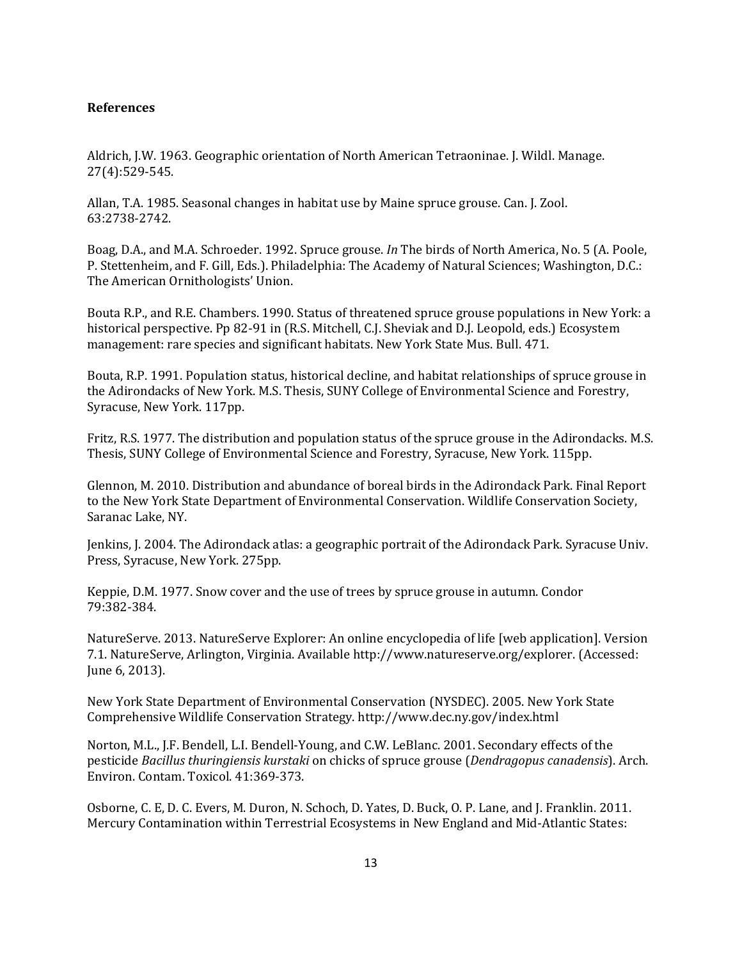### **References**

Aldrich, J.W. 1963. Geographic orientation of North American Tetraoninae. J. Wildl. Manage. 27(4):529-545.

Allan, T.A. 1985. Seasonal changes in habitat use by Maine spruce grouse. Can. J. Zool. 63:2738‐2742.

Boag, D.A., and M.A. Schroeder. 1992. Spruce grouse. *In* The birds of North America, No. 5 (A. Poole, P. Stettenheim, and F. Gill, Eds.). Philadelphia: The Academy of Natural Sciences; Washington, D.C.: The American Ornithologists' Union.

Bouta R.P., and R.E. Chambers. 1990. Status of threatened spruce grouse populations in New York: a historical perspective. Pp 82-91 in (R.S. Mitchell, C.J. Sheviak and D.J. Leopold, eds.) Ecosystem management: rare species and significant habitats. New York State Mus. Bull. 471.

Bouta, R.P. 1991. Population status, historical decline, and habitat relationships of spruce grouse in the Adirondacks of New York. M.S. Thesis, SUNY College of Environmental Science and Forestry, Syracuse, New York. 117pp.

Fritz, R.S. 1977. The distribution and population status of the spruce grouse in the Adirondacks. M.S. Thesis, SUNY College of Environmental Science and Forestry, Syracuse, New York. 115pp.

Glennon, M. 2010. Distribution and abundance of boreal birds in the Adirondack Park. Final Report to the New York State Department of Environmental Conservation. Wildlife Conservation Society, Saranac Lake, NY.

Jenkins, J. 2004. The Adirondack atlas: a geographic portrait of the Adirondack Park. Syracuse Univ. Press, Syracuse, New York. 275pp.

Keppie, D.M. 1977. Snow cover and the use of trees by spruce grouse in autumn. Condor 79:382‐384.

NatureServe. 2013. NatureServe Explorer: An online encyclopedia of life [web application]. Version 7.1. NatureServe, Arlington, Virginia. Available http://www.natureserve.org/explorer. (Accessed: June 6, 2013).

New York State Department of Environmental Conservation (NYSDEC). 2005. New York State Comprehensive Wildlife Conservation Strategy. http://www.dec.ny.gov/index.html

Norton, M.L., J.F. Bendell, L.I. Bendell-Young, and C.W. LeBlanc. 2001. Secondary effects of the pesticide *Bacillus thuringiensis kurstaki* on chicks of spruce grouse (*Dendragopus canadensis*). Arch. Environ. Contam. Toxicol. 41:369-373.

Osborne, C. E, D. C. Evers, M. Duron, N. Schoch, D. Yates, D. Buck, O. P. Lane, and J. Franklin. 2011. Mercury Contamination within Terrestrial Ecosystems in New England and Mid-Atlantic States: